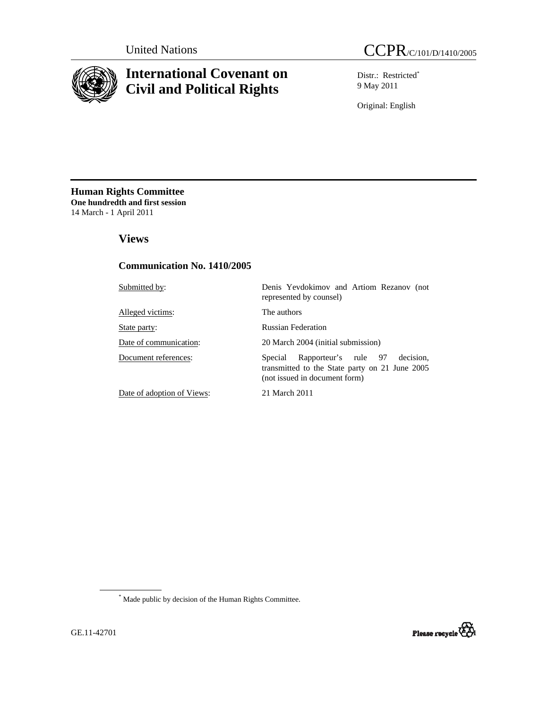

# **International Covenant on Civil and Political Rights**

Distr.: Restricted\* 9 May 2011

Original: English

**Human Rights Committee One hundredth and first session** 14 March - 1 April 2011

 **Views** 

# **Communication No. 1410/2005**

| Submitted by:              | Denis Yevdokimov and Artiom Rezanov (not<br>represented by counsel)                                                             |
|----------------------------|---------------------------------------------------------------------------------------------------------------------------------|
| Alleged victims:           | The authors                                                                                                                     |
| State party:               | <b>Russian Federation</b>                                                                                                       |
| Date of communication:     | 20 March 2004 (initial submission)                                                                                              |
| Document references:       | Rapporteur's rule 97<br>decision.<br>Special<br>transmitted to the State party on 21 June 2005<br>(not issued in document form) |
| Date of adoption of Views: | 21 March 2011                                                                                                                   |

\* Made public by decision of the Human Rights Committee.

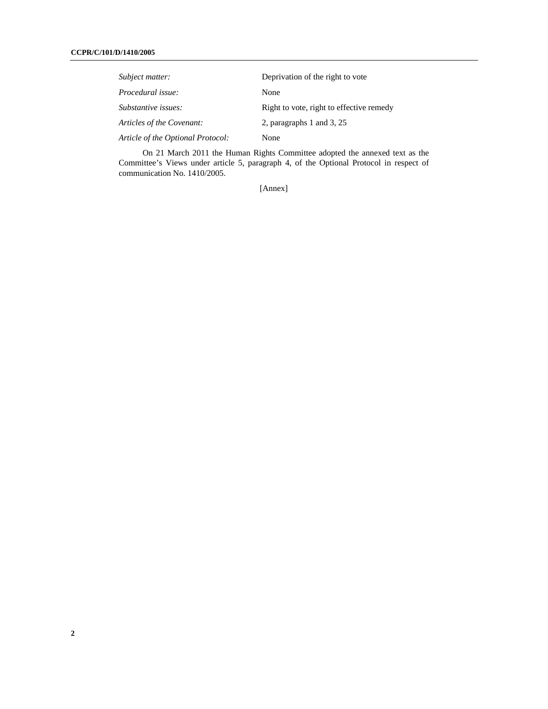| Subject matter:                   | Deprivation of the right to vote         |
|-----------------------------------|------------------------------------------|
| Procedural issue:                 | None                                     |
| Substantive issues:               | Right to vote, right to effective remedy |
| Articles of the Covenant:         | 2, paragraphs 1 and 3, $25$              |
| Article of the Optional Protocol: | None                                     |

On 21 March 2011 the Human Rights Committee adopted the annexed text as the Committee's Views under article 5, paragraph 4, of the Optional Protocol in respect of communication No. 1410/2005.

[Annex]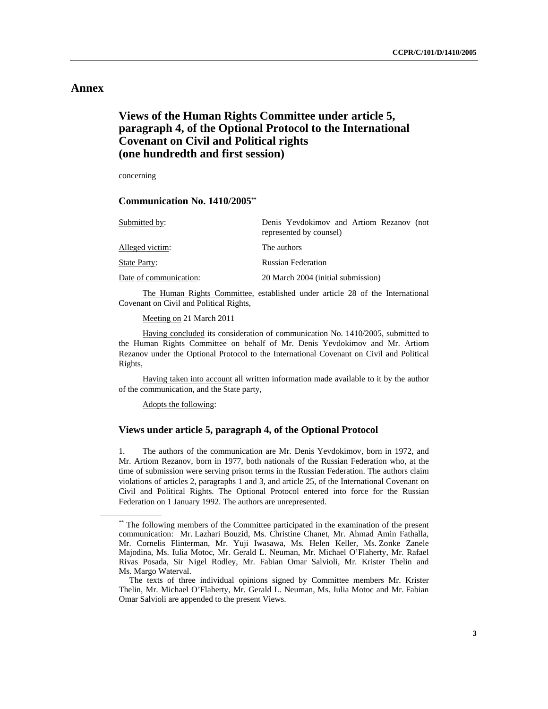# **Annex**

# **Views of the Human Rights Committee under article 5, paragraph 4, of the Optional Protocol to the International Covenant on Civil and Political rights (one hundredth and first session)**

concerning

## **Communication No. 1410/2005\*\***

| Submitted by:          | Denis Yevdokimov and Artiom Rezanov (not<br>represented by counsel) |
|------------------------|---------------------------------------------------------------------|
| Alleged victim:        | The authors                                                         |
| <b>State Party:</b>    | <b>Russian Federation</b>                                           |
| Date of communication: | 20 March 2004 (initial submission)                                  |

 The Human Rights Committee, established under article 28 of the International Covenant on Civil and Political Rights,

Meeting on 21 March 2011

 Having concluded its consideration of communication No. 1410/2005, submitted to the Human Rights Committee on behalf of Mr. Denis Yevdokimov and Mr. Artiom Rezanov under the Optional Protocol to the International Covenant on Civil and Political Rights,

 Having taken into account all written information made available to it by the author of the communication, and the State party,

Adopts the following:

### **Views under article 5, paragraph 4, of the Optional Protocol**

1. The authors of the communication are Mr. Denis Yevdokimov, born in 1972, and Mr. Artiom Rezanov, born in 1977, both nationals of the Russian Federation who, at the time of submission were serving prison terms in the Russian Federation. The authors claim violations of articles 2, paragraphs 1 and 3, and article 25, of the International Covenant on Civil and Political Rights. The Optional Protocol entered into force for the Russian Federation on 1 January 1992. The authors are unrepresented.

<sup>\*\*</sup> The following members of the Committee participated in the examination of the present communication: Mr. Lazhari Bouzid, Ms. Christine Chanet, Mr. Ahmad Amin Fathalla, Mr. Cornelis Flinterman, Mr. Yuji Iwasawa, Ms. Helen Keller, Ms. Zonke Zanele Majodina, Ms. Iulia Motoc, Mr. Gerald L. Neuman, Mr. Michael O'Flaherty, Mr. Rafael Rivas Posada, Sir Nigel Rodley, Mr. Fabian Omar Salvioli, Mr. Krister Thelin and Ms. Margo Waterval.

The texts of three individual opinions signed by Committee members Mr. Krister Thelin, Mr. Michael O'Flaherty, Mr. Gerald L. Neuman, Ms. Iulia Motoc and Mr. Fabian Omar Salvioli are appended to the present Views.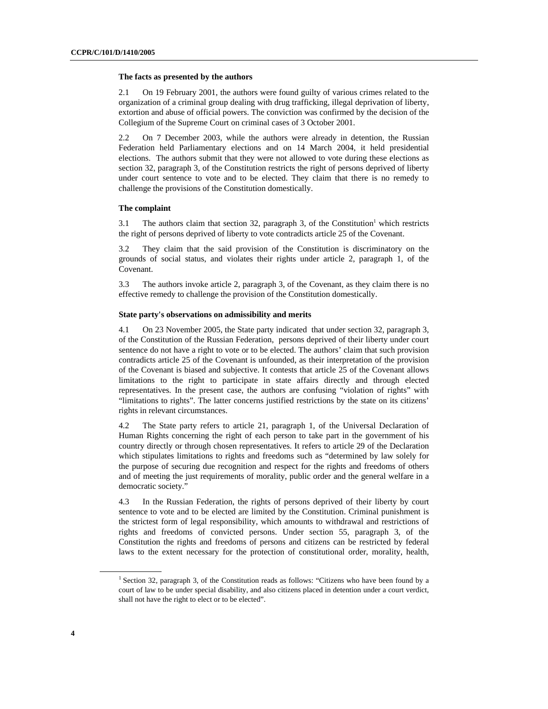#### **The facts as presented by the authors**

2.1 On 19 February 2001, the authors were found guilty of various crimes related to the organization of a criminal group dealing with drug trafficking, illegal deprivation of liberty, extortion and abuse of official powers. The conviction was confirmed by the decision of the Collegium of the Supreme Court on criminal cases of 3 October 2001.

2.2 On 7 December 2003, while the authors were already in detention, the Russian Federation held Parliamentary elections and on 14 March 2004, it held presidential elections. The authors submit that they were not allowed to vote during these elections as section 32, paragraph 3, of the Constitution restricts the right of persons deprived of liberty under court sentence to vote and to be elected. They claim that there is no remedy to challenge the provisions of the Constitution domestically.

#### **The complaint**

3.1 The authors claim that section 32, paragraph 3, of the Constitution<sup>1</sup> which restricts the right of persons deprived of liberty to vote contradicts article 25 of the Covenant.

3.2 They claim that the said provision of the Constitution is discriminatory on the grounds of social status, and violates their rights under article 2, paragraph 1, of the Covenant.

3.3 The authors invoke article 2, paragraph 3, of the Covenant, as they claim there is no effective remedy to challenge the provision of the Constitution domestically.

### **State party's observations on admissibility and merits**

4.1 On 23 November 2005, the State party indicated that under section 32, paragraph 3, of the Constitution of the Russian Federation, persons deprived of their liberty under court sentence do not have a right to vote or to be elected. The authors' claim that such provision contradicts article 25 of the Covenant is unfounded, as their interpretation of the provision of the Covenant is biased and subjective. It contests that article 25 of the Covenant allows limitations to the right to participate in state affairs directly and through elected representatives. In the present case, the authors are confusing "violation of rights" with "limitations to rights". The latter concerns justified restrictions by the state on its citizens' rights in relevant circumstances.

4.2 The State party refers to article 21, paragraph 1, of the Universal Declaration of Human Rights concerning the right of each person to take part in the government of his country directly or through chosen representatives. It refers to article 29 of the Declaration which stipulates limitations to rights and freedoms such as "determined by law solely for the purpose of securing due recognition and respect for the rights and freedoms of others and of meeting the just requirements of morality, public order and the general welfare in a democratic society."

4.3 In the Russian Federation, the rights of persons deprived of their liberty by court sentence to vote and to be elected are limited by the Constitution. Criminal punishment is the strictest form of legal responsibility, which amounts to withdrawal and restrictions of rights and freedoms of convicted persons. Under section 55, paragraph 3, of the Constitution the rights and freedoms of persons and citizens can be restricted by federal laws to the extent necessary for the protection of constitutional order, morality, health,

 $<sup>1</sup>$  Section 32, paragraph 3, of the Constitution reads as follows: "Citizens who have been found by a</sup> court of law to be under special disability, and also citizens placed in detention under a court verdict, shall not have the right to elect or to be elected".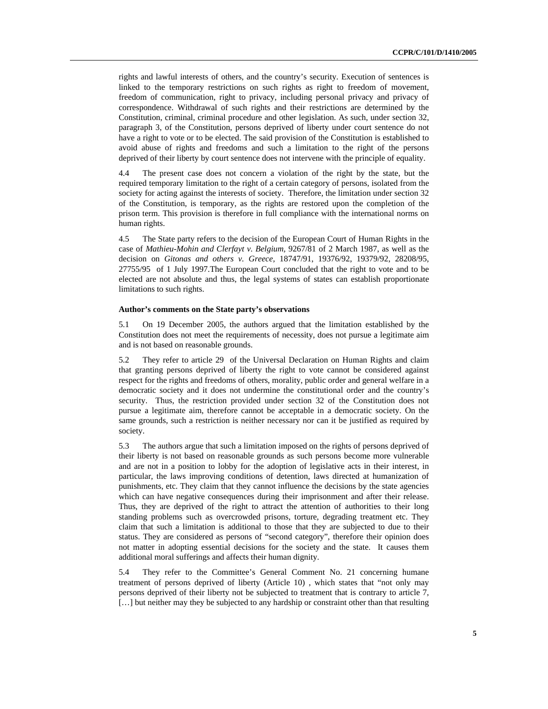rights and lawful interests of others, and the country's security. Execution of sentences is linked to the temporary restrictions on such rights as right to freedom of movement, freedom of communication, right to privacy, including personal privacy and privacy of correspondence. Withdrawal of such rights and their restrictions are determined by the Constitution, criminal, criminal procedure and other legislation. As such, under section 32, paragraph 3, of the Constitution, persons deprived of liberty under court sentence do not have a right to vote or to be elected. The said provision of the Constitution is established to avoid abuse of rights and freedoms and such a limitation to the right of the persons deprived of their liberty by court sentence does not intervene with the principle of equality.

4.4 The present case does not concern a violation of the right by the state, but the required temporary limitation to the right of a certain category of persons, isolated from the society for acting against the interests of society. Therefore, the limitation under section 32 of the Constitution, is temporary, as the rights are restored upon the completion of the prison term. This provision is therefore in full compliance with the international norms on human rights.

4.5 The State party refers to the decision of the European Court of Human Rights in the case of *Mathieu-Mohin and Clerfayt v. Belgium,* 9267/81 of 2 March 1987, as well as the decision on *Gitonas and others v. Greece,* 18747/91, 19376/92, 19379/92, 28208/95, 27755/95 of 1 July 1997.The European Court concluded that the right to vote and to be elected are not absolute and thus, the legal systems of states can establish proportionate limitations to such rights.

#### **Author's comments on the State party's observations**

5.1 On 19 December 2005, the authors argued that the limitation established by the Constitution does not meet the requirements of necessity, does not pursue a legitimate aim and is not based on reasonable grounds.

5.2 They refer to article 29 of the Universal Declaration on Human Rights and claim that granting persons deprived of liberty the right to vote cannot be considered against respect for the rights and freedoms of others, morality, public order and general welfare in a democratic society and it does not undermine the constitutional order and the country's security. Thus, the restriction provided under section 32 of the Constitution does not pursue a legitimate aim, therefore cannot be acceptable in a democratic society. On the same grounds, such a restriction is neither necessary nor can it be justified as required by society.

5.3 The authors argue that such a limitation imposed on the rights of persons deprived of their liberty is not based on reasonable grounds as such persons become more vulnerable and are not in a position to lobby for the adoption of legislative acts in their interest, in particular, the laws improving conditions of detention, laws directed at humanization of punishments, etc. They claim that they cannot influence the decisions by the state agencies which can have negative consequences during their imprisonment and after their release. Thus, they are deprived of the right to attract the attention of authorities to their long standing problems such as overcrowded prisons, torture, degrading treatment etc. They claim that such a limitation is additional to those that they are subjected to due to their status. They are considered as persons of "second category", therefore their opinion does not matter in adopting essential decisions for the society and the state. It causes them additional moral sufferings and affects their human dignity.

5.4 They refer to the Committee's General Comment No. 21 concerning humane treatment of persons deprived of liberty (Article 10) , which states that "not only may persons deprived of their liberty not be subjected to treatment that is contrary to article 7, [...] but neither may they be subjected to any hardship or constraint other than that resulting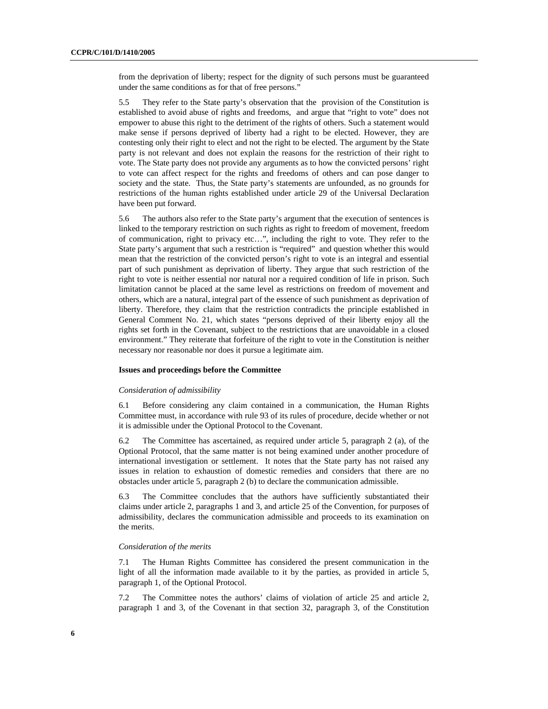from the deprivation of liberty; respect for the dignity of such persons must be guaranteed under the same conditions as for that of free persons."

5.5 They refer to the State party's observation that the provision of the Constitution is established to avoid abuse of rights and freedoms, and argue that "right to vote" does not empower to abuse this right to the detriment of the rights of others. Such a statement would make sense if persons deprived of liberty had a right to be elected. However, they are contesting only their right to elect and not the right to be elected. The argument by the State party is not relevant and does not explain the reasons for the restriction of their right to vote. The State party does not provide any arguments as to how the convicted persons' right to vote can affect respect for the rights and freedoms of others and can pose danger to society and the state. Thus, the State party's statements are unfounded, as no grounds for restrictions of the human rights established under article 29 of the Universal Declaration have been put forward.

5.6 The authors also refer to the State party's argument that the execution of sentences is linked to the temporary restriction on such rights as right to freedom of movement, freedom of communication, right to privacy etc…", including the right to vote. They refer to the State party's argument that such a restriction is "required" and question whether this would mean that the restriction of the convicted person's right to vote is an integral and essential part of such punishment as deprivation of liberty. They argue that such restriction of the right to vote is neither essential nor natural nor a required condition of life in prison. Such limitation cannot be placed at the same level as restrictions on freedom of movement and others, which are a natural, integral part of the essence of such punishment as deprivation of liberty. Therefore, they claim that the restriction contradicts the principle established in General Comment No. 21, which states "persons deprived of their liberty enjoy all the rights set forth in the Covenant, subject to the restrictions that are unavoidable in a closed environment." They reiterate that forfeiture of the right to vote in the Constitution is neither necessary nor reasonable nor does it pursue a legitimate aim.

#### **Issues and proceedings before the Committee**

#### *Consideration of admissibility*

6.1 Before considering any claim contained in a communication, the Human Rights Committee must, in accordance with rule 93 of its rules of procedure, decide whether or not it is admissible under the Optional Protocol to the Covenant.

6.2 The Committee has ascertained, as required under article 5, paragraph 2 (a), of the Optional Protocol, that the same matter is not being examined under another procedure of international investigation or settlement. It notes that the State party has not raised any issues in relation to exhaustion of domestic remedies and considers that there are no obstacles under article 5, paragraph 2 (b) to declare the communication admissible.

6.3 The Committee concludes that the authors have sufficiently substantiated their claims under article 2, paragraphs 1 and 3, and article 25 of the Convention, for purposes of admissibility, declares the communication admissible and proceeds to its examination on the merits.

#### *Consideration of the merits*

7.1 The Human Rights Committee has considered the present communication in the light of all the information made available to it by the parties, as provided in article 5, paragraph 1, of the Optional Protocol.

7.2 The Committee notes the authors' claims of violation of article 25 and article 2, paragraph 1 and 3, of the Covenant in that section 32, paragraph 3, of the Constitution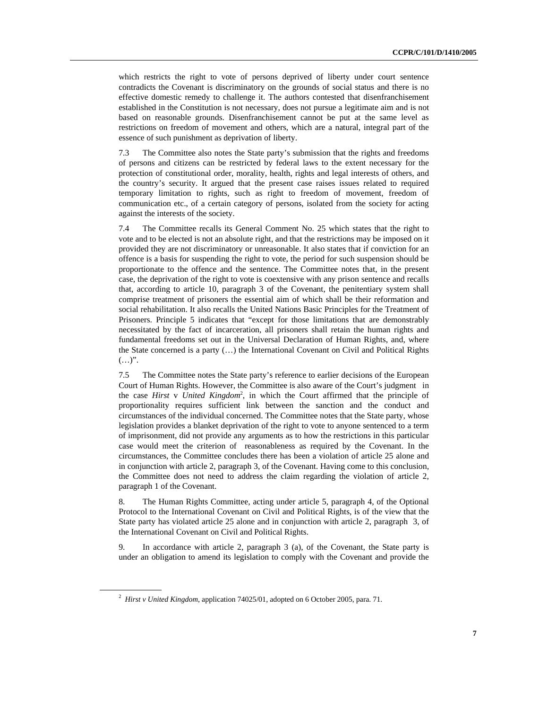which restricts the right to vote of persons deprived of liberty under court sentence contradicts the Covenant is discriminatory on the grounds of social status and there is no effective domestic remedy to challenge it. The authors contested that disenfranchisement established in the Constitution is not necessary, does not pursue a legitimate aim and is not based on reasonable grounds. Disenfranchisement cannot be put at the same level as restrictions on freedom of movement and others, which are a natural, integral part of the essence of such punishment as deprivation of liberty.

7.3 The Committee also notes the State party's submission that the rights and freedoms of persons and citizens can be restricted by federal laws to the extent necessary for the protection of constitutional order, morality, health, rights and legal interests of others, and the country's security. It argued that the present case raises issues related to required temporary limitation to rights, such as right to freedom of movement, freedom of communication etc., of a certain category of persons, isolated from the society for acting against the interests of the society.

7.4 The Committee recalls its General Comment No. 25 which states that the right to vote and to be elected is not an absolute right, and that the restrictions may be imposed on it provided they are not discriminatory or unreasonable. It also states that if conviction for an offence is a basis for suspending the right to vote, the period for such suspension should be proportionate to the offence and the sentence. The Committee notes that, in the present case, the deprivation of the right to vote is coextensive with any prison sentence and recalls that, according to article 10, paragraph 3 of the Covenant, the penitentiary system shall comprise treatment of prisoners the essential aim of which shall be their reformation and social rehabilitation. It also recalls the United Nations Basic Principles for the Treatment of Prisoners. Principle 5 indicates that "except for those limitations that are demonstrably necessitated by the fact of incarceration, all prisoners shall retain the human rights and fundamental freedoms set out in the Universal Declaration of Human Rights, and, where the State concerned is a party (…) the International Covenant on Civil and Political Rights  $(\ldots)$ ".

7.5 The Committee notes the State party's reference to earlier decisions of the European Court of Human Rights. However, the Committee is also aware of the Court's judgment in the case *Hirst* v *United Kingdom*<sup>2</sup> , in which the Court affirmed that the principle of proportionality requires sufficient link between the sanction and the conduct and circumstances of the individual concerned. The Committee notes that the State party, whose legislation provides a blanket deprivation of the right to vote to anyone sentenced to a term of imprisonment, did not provide any arguments as to how the restrictions in this particular case would meet the criterion of reasonableness as required by the Covenant. In the circumstances, the Committee concludes there has been a violation of article 25 alone and in conjunction with article 2, paragraph 3, of the Covenant. Having come to this conclusion, the Committee does not need to address the claim regarding the violation of article 2, paragraph 1 of the Covenant.

8. The Human Rights Committee, acting under article 5, paragraph 4, of the Optional Protocol to the International Covenant on Civil and Political Rights, is of the view that the State party has violated article 25 alone and in conjunction with article 2, paragraph 3, of the International Covenant on Civil and Political Rights.

9. In accordance with article 2, paragraph 3 (a), of the Covenant, the State party is under an obligation to amend its legislation to comply with the Covenant and provide the

<sup>2</sup> *Hirst v United Kingdom*, application 74025/01, adopted on 6 October 2005, para. 71.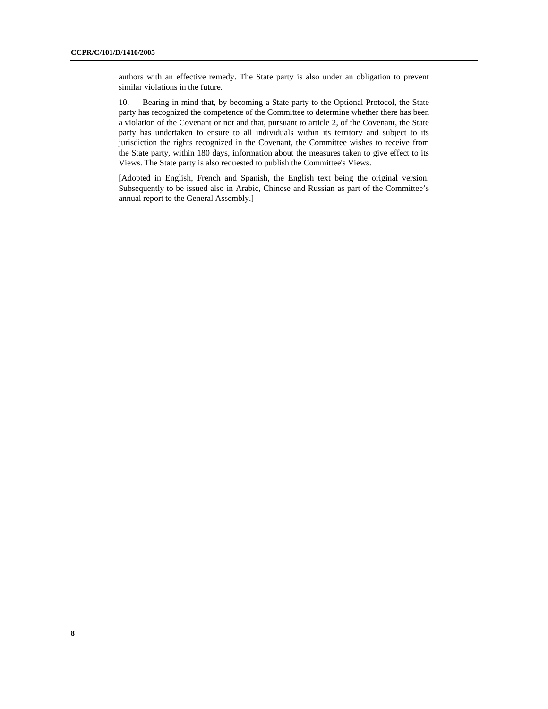authors with an effective remedy. The State party is also under an obligation to prevent similar violations in the future.

10. Bearing in mind that, by becoming a State party to the Optional Protocol, the State party has recognized the competence of the Committee to determine whether there has been a violation of the Covenant or not and that, pursuant to article 2, of the Covenant, the State party has undertaken to ensure to all individuals within its territory and subject to its jurisdiction the rights recognized in the Covenant, the Committee wishes to receive from the State party, within 180 days, information about the measures taken to give effect to its Views. The State party is also requested to publish the Committee's Views.

[Adopted in English, French and Spanish, the English text being the original version. Subsequently to be issued also in Arabic, Chinese and Russian as part of the Committee's annual report to the General Assembly.]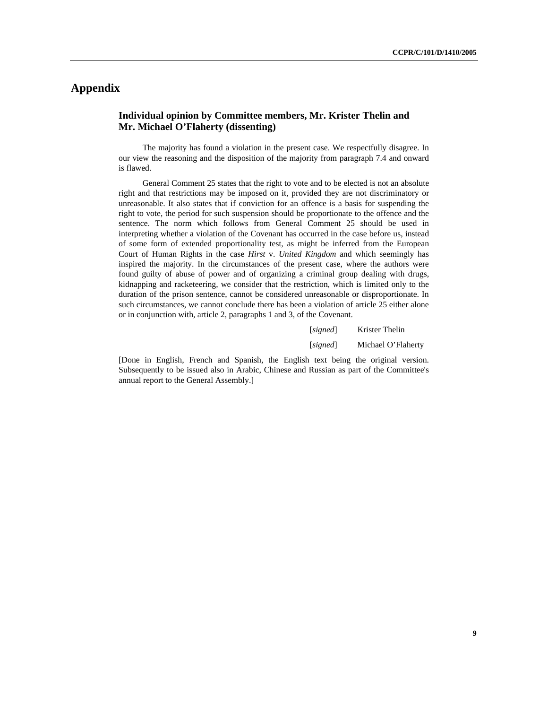# **Appendix**

## **Individual opinion by Committee members, Mr. Krister Thelin and Mr. Michael O'Flaherty (dissenting)**

The majority has found a violation in the present case. We respectfully disagree. In our view the reasoning and the disposition of the majority from paragraph 7.4 and onward is flawed.

General Comment 25 states that the right to vote and to be elected is not an absolute right and that restrictions may be imposed on it, provided they are not discriminatory or unreasonable. It also states that if conviction for an offence is a basis for suspending the right to vote, the period for such suspension should be proportionate to the offence and the sentence. The norm which follows from General Comment 25 should be used in interpreting whether a violation of the Covenant has occurred in the case before us, instead of some form of extended proportionality test, as might be inferred from the European Court of Human Rights in the case *Hirst* v. *United Kingdom* and which seemingly has inspired the majority. In the circumstances of the present case, where the authors were found guilty of abuse of power and of organizing a criminal group dealing with drugs, kidnapping and racketeering, we consider that the restriction, which is limited only to the duration of the prison sentence, cannot be considered unreasonable or disproportionate. In such circumstances, we cannot conclude there has been a violation of article 25 either alone or in conjunction with, article 2, paragraphs 1 and 3, of the Covenant.

| [signed] | Krister Thelin     |
|----------|--------------------|
| [signed] | Michael O'Flaherty |

[Done in English, French and Spanish, the English text being the original version. Subsequently to be issued also in Arabic, Chinese and Russian as part of the Committee's annual report to the General Assembly.]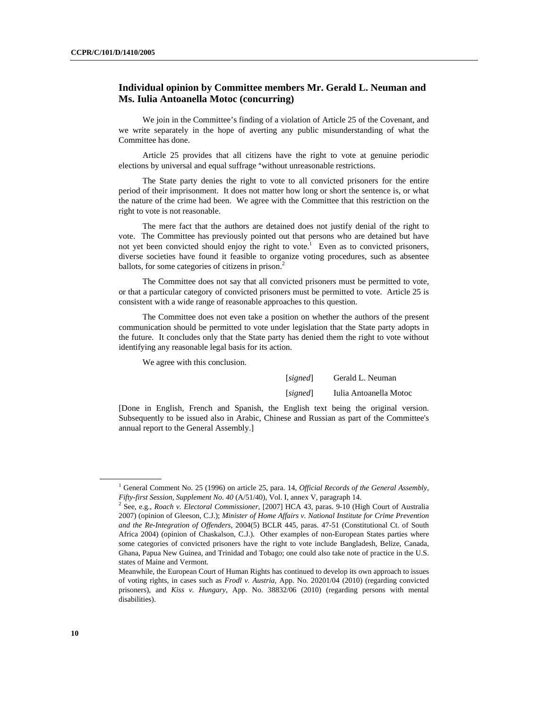### **Individual opinion by Committee members Mr. Gerald L. Neuman and Ms. Iulia Antoanella Motoc (concurring)**

We join in the Committee's finding of a violation of Article 25 of the Covenant, and we write separately in the hope of averting any public misunderstanding of what the Committee has done.

Article 25 provides that all citizens have the right to vote at genuine periodic elections by universal and equal suffrage "without unreasonable restrictions.

The State party denies the right to vote to all convicted prisoners for the entire period of their imprisonment. It does not matter how long or short the sentence is, or what the nature of the crime had been. We agree with the Committee that this restriction on the right to vote is not reasonable.

The mere fact that the authors are detained does not justify denial of the right to vote. The Committee has previously pointed out that persons who are detained but have not yet been convicted should enjoy the right to vote.<sup>1</sup> Even as to convicted prisoners, diverse societies have found it feasible to organize voting procedures, such as absentee ballots, for some categories of citizens in prison.<sup>2</sup>

The Committee does not say that all convicted prisoners must be permitted to vote, or that a particular category of convicted prisoners must be permitted to vote. Article 25 is consistent with a wide range of reasonable approaches to this question.

The Committee does not even take a position on whether the authors of the present communication should be permitted to vote under legislation that the State party adopts in the future. It concludes only that the State party has denied them the right to vote without identifying any reasonable legal basis for its action.

We agree with this conclusion.

| [signed] | Gerald L. Neuman       |
|----------|------------------------|
| [signed] | Iulia Antoanella Motoc |

[Done in English, French and Spanish, the English text being the original version. Subsequently to be issued also in Arabic, Chinese and Russian as part of the Committee's annual report to the General Assembly.]

<sup>&</sup>lt;sup>1</sup> General Comment No. 25 (1996) on article 25, para. 14, *Official Records of the General Assembly*, *Fifty-first Session, Supplement No. 40* (A/51/40), Vol. I, annex V, paragraph 14. 2

See, e.g., *Roach v. Electoral Commissioner*, [2007] HCA 43, paras. 9-10 (High Court of Australia 2007) (opinion of Gleeson, C.J.); *Minister of Home Affairs v. National Institute for Crime Prevention and the Re-Integration of Offenders*, 2004(5) BCLR 445, paras. 47-51 (Constitutional Ct. of South Africa 2004) (opinion of Chaskalson, C.J.). Other examples of non-European States parties where some categories of convicted prisoners have the right to vote include Bangladesh, Belize, Canada, Ghana, Papua New Guinea, and Trinidad and Tobago; one could also take note of practice in the U.S. states of Maine and Vermont.

Meanwhile, the European Court of Human Rights has continued to develop its own approach to issues of voting rights, in cases such as *Frodl v. Austria*, App. No. 20201/04 (2010) (regarding convicted prisoners), and *Kiss v. Hungary*, App. No. 38832/06 (2010) (regarding persons with mental disabilities).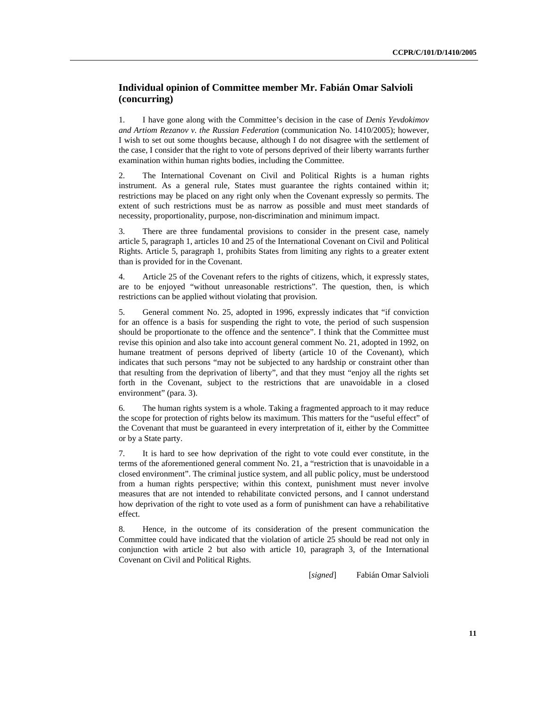# **Individual opinion of Committee member Mr. Fabián Omar Salvioli (concurring)**

1. I have gone along with the Committee's decision in the case of *Denis Yevdokimov and Artiom Rezanov v. the Russian Federation* (communication No. 1410/2005); however, I wish to set out some thoughts because, although I do not disagree with the settlement of the case, I consider that the right to vote of persons deprived of their liberty warrants further examination within human rights bodies, including the Committee.

2. The International Covenant on Civil and Political Rights is a human rights instrument. As a general rule, States must guarantee the rights contained within it; restrictions may be placed on any right only when the Covenant expressly so permits. The extent of such restrictions must be as narrow as possible and must meet standards of necessity, proportionality, purpose, non-discrimination and minimum impact.

3. There are three fundamental provisions to consider in the present case, namely article 5, paragraph 1, articles 10 and 25 of the International Covenant on Civil and Political Rights. Article 5, paragraph 1, prohibits States from limiting any rights to a greater extent than is provided for in the Covenant.

4. Article 25 of the Covenant refers to the rights of citizens, which, it expressly states, are to be enjoyed "without unreasonable restrictions". The question, then, is which restrictions can be applied without violating that provision.

5. General comment No. 25, adopted in 1996, expressly indicates that "if conviction for an offence is a basis for suspending the right to vote, the period of such suspension should be proportionate to the offence and the sentence". I think that the Committee must revise this opinion and also take into account general comment No. 21, adopted in 1992, on humane treatment of persons deprived of liberty (article 10 of the Covenant), which indicates that such persons "may not be subjected to any hardship or constraint other than that resulting from the deprivation of liberty", and that they must "enjoy all the rights set forth in the Covenant, subject to the restrictions that are unavoidable in a closed environment" (para. 3).

6. The human rights system is a whole. Taking a fragmented approach to it may reduce the scope for protection of rights below its maximum. This matters for the "useful effect" of the Covenant that must be guaranteed in every interpretation of it, either by the Committee or by a State party.

7. It is hard to see how deprivation of the right to vote could ever constitute, in the terms of the aforementioned general comment No. 21, a "restriction that is unavoidable in a closed environment". The criminal justice system, and all public policy, must be understood from a human rights perspective; within this context, punishment must never involve measures that are not intended to rehabilitate convicted persons, and I cannot understand how deprivation of the right to vote used as a form of punishment can have a rehabilitative effect.

8. Hence, in the outcome of its consideration of the present communication the Committee could have indicated that the violation of article 25 should be read not only in conjunction with article 2 but also with article 10, paragraph 3, of the International Covenant on Civil and Political Rights.

[*signed*] Fabián Omar Salvioli